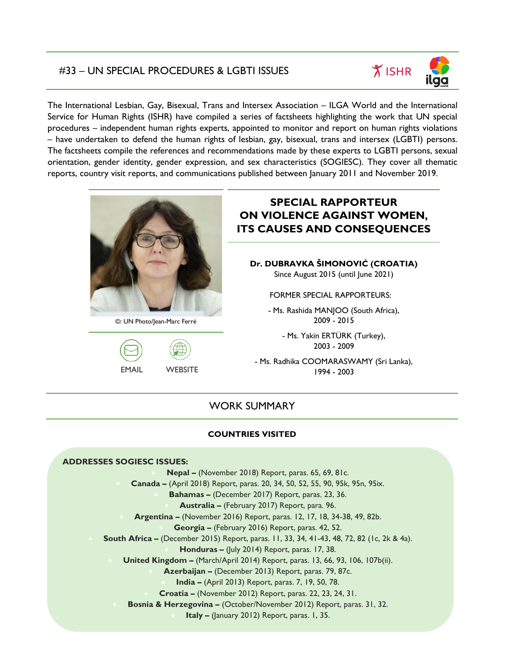### #33 – UN SPECIAL PROCEDURES & LGBTI ISSUES

The International Lesbian, Gay, Bisexual, Trans and Intersex Association – ILGA World and the International Service for Human Rights (ISHR) have compiled a series of factsheets highlighting the work that UN special procedures – independent human rights experts, appointed to monitor and report on human rights violations – have undertaken to defend the human rights of lesbian, gay, bisexual, trans and intersex (LGBTI) persons. The factsheets compile the references and recommendations made by these experts to LGBTI persons, sexual orientation, gender identity, gender expression, and sex characteristics (SOGIESC). They cover all thematic reports, country visit reports, and communications published between January 2011 and November 2019.



©: UN Photo/Jean-Marc Ferré



# **SPECIAL RAPPORTEUR ON VIOLENCE AGAINST WOMEN, ITS CAUSES AND CONSEQUENCES**

**Dr. DUBRAVKA ŠIMONOVIĆ (CROATIA)** Since August 2015 (until June 2021)

FORMER SPECIAL RAPPORTEURS:

- Ms. Rashida MANJOO (South Africa), 2009 - 2015

- Ms. Yakin ERTÜRK (Turkey), 2003 - 2009

- Ms. Radhika COOMARASWAMY (Sri Lanka), 1994 - 2003

## WORK SUMMARY

### **COUNTRIES VISITED**

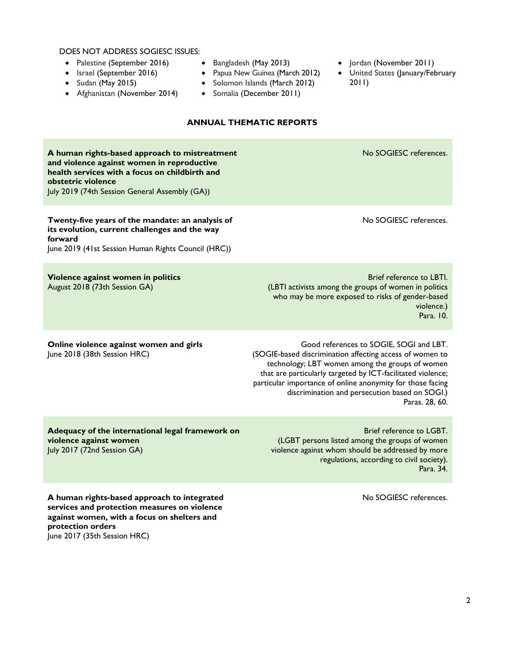DOES NOT ADDRESS SOGIESC ISSUES:

- [Palestine](https://www.ohchr.org/EN/HRBodies/HRC/RegularSessions/Session35/Documents/A_HRC_35_30_Add_2_EN.docx) (September 2016)
- [Israel](https://www.ohchr.org/EN/HRBodies/HRC/RegularSessions/Session35/Documents/A_HRC_35_30_Add_1_EN.docx) (September 2016)
- [Sudan](http://ap.ohchr.org/documents/dpage_e.aspx?si=A/HRC/32/42/Add.1) (May 2015)
- [Afghanistan](https://www.ohchr.org/EN/HRBodies/HRC/RegularSessions/Session29/Documents/A_HRC_29_27_Add_3_ENG.doc) (November 2014)
- [Bangladesh](https://www.ohchr.org/EN/HRBodies/HRC/RegularSessions/Session26/Documents/A-HRC-26-38-Add2_en.doc) (May 2013)
- [Papua New Guinea](https://www.ohchr.org/Documents/Issues/Women/A-HRC-23-49-Add-2_en.pdf) (March 2012)
- [Solomon Islands](https://www.ohchr.org/Documents/Issues/Women/A-HRC-23-49-Add-1_en.pdf) (March 2012)
- [Somalia](https://www.ohchr.org/Documents/HRBodies/HRCouncil/RegularSession/Session20/A-HRC-20-16-Add3_en.pdf) (December 2011)
- [Jordan](https://www.ohchr.org/Documents/HRBodies/HRCouncil/RegularSession/Session20/A-HRC-20-16-Add1_en.pdf) (November 2011)
- [United States](http://daccess-ods.un.org/access.nsf/Get?Open&DS=A/HRC/17/26/Add.5&Lang=E) (January/February 2011)
- **ANNUAL THEMATIC REPORTS [A human rights-based approach to mistreatment](http://www.un.org/en/ga/search/view_doc.asp?symbol=A/74/137)  [and violence against women in reproductive](http://www.un.org/en/ga/search/view_doc.asp?symbol=A/74/137)  [health services with a focus on childbirth and](http://www.un.org/en/ga/search/view_doc.asp?symbol=A/74/137)  [obstetric violence](http://www.un.org/en/ga/search/view_doc.asp?symbol=A/74/137)** July 2019 (74th Session General Assembly (GA)) No SOGIESC references. **[Twenty-five years of the mandate: an analysis of](https://www.ohchr.org/EN/HRBodies/HRC/RegularSessions/Session41/Documents/A_HRC_41_42_EN.docx)  [its evolution, current challenges and the way](https://www.ohchr.org/EN/HRBodies/HRC/RegularSessions/Session41/Documents/A_HRC_41_42_EN.docx)  [forward](https://www.ohchr.org/EN/HRBodies/HRC/RegularSessions/Session41/Documents/A_HRC_41_42_EN.docx)** June 2019 (41st Session Human Rights Council (HRC)) No SOGIESC references. **[Violence against women in politics](http://www.un.org/en/ga/search/view_doc.asp?symbol=A/73/301)** August 2018 (73th Session GA) Brief reference to LBTI. (LBTI activists among the groups of women in politics who may be more exposed to risks of gender-based violence.) Para. 10. **[Online violence against women and girls](http://ap.ohchr.org/documents/dpage_e.aspx?si=A/HRC/38/47)** June 2018 (38th Session HRC) Good references to SOGIE, SOGI and LBT. (SOGIE-based discrimination affecting access of women to technology; LBT women among the groups of women that are particularly targeted by ICT-facilitated violence; particular importance of online anonymity for those facing discrimination and persecution based on SOGI.) Paras. 28, 60. **[Adequacy of the international legal framework on](http://www.un.org/ga/search/view_doc.asp?symbol=A/72/134&Submit=Search&Lang=E)  [violence against women](http://www.un.org/ga/search/view_doc.asp?symbol=A/72/134&Submit=Search&Lang=E)** July 2017 (72nd Session GA) Brief reference to LGBT. (LGBT persons listed among the groups of women violence against whom should be addressed by more regulations, according to civil society). Para. 34. **[A human rights-based approach to integrated](http://ap.ohchr.org/documents/dpage_e.aspx?si=A/HRC/35/30)**  No SOGIESC references.

**[services and protection measures on violence](http://ap.ohchr.org/documents/dpage_e.aspx?si=A/HRC/35/30)  [against women, with a focus on shelters and](http://ap.ohchr.org/documents/dpage_e.aspx?si=A/HRC/35/30)  [protection orders](http://ap.ohchr.org/documents/dpage_e.aspx?si=A/HRC/35/30)** June 2017 (35th Session HRC)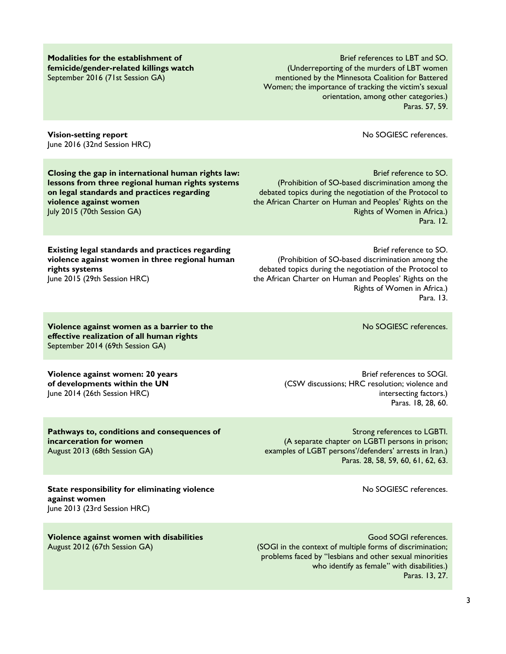Brief references to LBT and SO. (Underreporting of the murders of LBT women mentioned by the Minnesota Coalition for Battered Women; the importance of tracking the victim's sexual orientation, among other categories.)

**[Vision-setting report](http://ap.ohchr.org/documents/dpage_e.aspx?si=A/HRC/32/42)** June 2016 (32nd Session HRC)

**[Modalities for the establishment of](http://www.un.org/ga/search/view_doc.asp?symbol=A/71/398&Submit=Search&Lang=E)  [femicide/gender-related killings watch](http://www.un.org/ga/search/view_doc.asp?symbol=A/71/398&Submit=Search&Lang=E)**

September 2016 (71st Session GA)

**[Closing the gap in international human rights law:](http://www.un.org/en/ga/search/view_doc.asp?symbol=A/70/209)  [lessons from three regional human rights systems](http://www.un.org/en/ga/search/view_doc.asp?symbol=A/70/209)  [on legal standards and practices regarding](http://www.un.org/en/ga/search/view_doc.asp?symbol=A/70/209)  [violence against women](http://www.un.org/en/ga/search/view_doc.asp?symbol=A/70/209)** July 2015 (70th Session GA)

**[Existing legal standards and practices regarding](https://www.ohchr.org/EN/HRBodies/HRC/RegularSessions/Session29/Documents/A%20HRC%2029%2027_AEV.doc)  [violence against women in three regional human](https://www.ohchr.org/EN/HRBodies/HRC/RegularSessions/Session29/Documents/A%20HRC%2029%2027_AEV.doc)  [rights systems](https://www.ohchr.org/EN/HRBodies/HRC/RegularSessions/Session29/Documents/A%20HRC%2029%2027_AEV.doc)** June 2015 (29th Session HRC)

**[Violence against women as a barrier to the](http://daccess-ods.un.org/access.nsf/Get?OpenAgent&DS=A/69/368&Lang=E)  [effective realization of all human rights](http://daccess-ods.un.org/access.nsf/Get?OpenAgent&DS=A/69/368&Lang=E)** September 2014 (69th Session GA)

**[Violence against women: 20 years](http://ap.ohchr.org/documents/dpage_e.aspx?si=A/HRC/26/38)  of [developments within the UN](http://ap.ohchr.org/documents/dpage_e.aspx?si=A/HRC/26/38)** June 2014 (26th Session HRC)

**[Pathways to, conditions and consequences of](http://ap.ohchr.org/documents/dpage_e.aspx?si=A/68/340)  [incarceration for women](http://ap.ohchr.org/documents/dpage_e.aspx?si=A/68/340)** August 2013 (68th Session GA)

**[State responsibility for eliminating violence](http://www.ohchr.org/Documents/HRBodies/HRCouncil/RegularSession/Session23/A_HRC_23_49_English.pdf)  [against women](http://www.ohchr.org/Documents/HRBodies/HRCouncil/RegularSession/Session23/A_HRC_23_49_English.pdf)** June 2013 (23rd Session HRC)

**[Violence against women with disabilities](http://www.un.org/en/ga/search/view_doc.asp?symbol=A/67/227)** August 2012 (67th Session GA)

(Prohibition of SO-based discrimination among the debated topics during the negotiation of the Protocol to the African Charter on Human and Peoples' Rights on the Rights of Women in Africa.) Para. 13.

No SOGIESC references.

Brief reference to SO.

Brief references to SOGI. (CSW discussions; HRC resolution; violence and intersecting factors.) Paras. 18, 28, 60.

Strong references to LGBTI. (A separate chapter on LGBTI persons in prison; examples of LGBT persons'/defenders' arrests in Iran.) Paras. 28, 58, 59, 60, 61, 62, 63.

No SOGIESC references.

Good SOGI references. (SOGI in the context of multiple forms of discrimination; problems faced by "lesbians and other sexual minorities who identify as female" with disabilities.) Paras. 13, 27.

No SOGIESC references.

Paras. 57, 59.

Brief reference to SO. (Prohibition of SO-based discrimination among the debated topics during the negotiation of the Protocol to the African Charter on Human and Peoples' Rights on the Rights of Women in Africa.) Para. 12.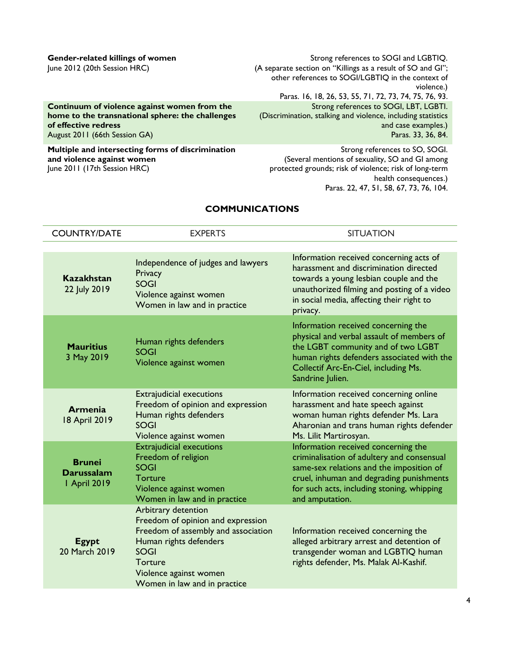#### **[Gender-related killings of](http://www.ohchr.org/Documents/HRBodies/HRCouncil/RegularSession/Session20/A.HRC.20.16_En.PDF) women** June 2012 (20th Session HRC)

**[Continuum of violence against women from the](http://daccess-ods.un.org/access.nsf/Get?Open&DS=A/66/215&Lang=E)  [home to the transnational sphere: the challenges](http://daccess-ods.un.org/access.nsf/Get?Open&DS=A/66/215&Lang=E)  [of effective redress](http://daccess-ods.un.org/access.nsf/Get?Open&DS=A/66/215&Lang=E)** August 2011 (66th Session GA)

**Multiple [and intersecting forms of discrimination](http://daccess-ods.un.org/access.nsf/Get?Open&DS=A/HRC/17/26&Lang=E)  [and violence against women](http://daccess-ods.un.org/access.nsf/Get?Open&DS=A/HRC/17/26&Lang=E)** June 2011 (17th Session HRC)

Strong references to SOGI and LGBTIQ. (A separate section on "Killings as a result of SO and GI"; other references to SOGI/LGBTIQ in the context of violence.) Paras. 16, 18, 26, 53, 55, 71, 72, 73, 74, 75, 76, 93. Strong references to SOGI, LBT, LGBTI. (Discrimination, stalking and violence, including statistics and case examples.) Paras. 33, 36, 84.

Strong references to SO, SOGI. (Several mentions of sexuality, SO and GI among protected grounds; risk of violence; risk of long-term health consequences.) Paras. 22, 47, 51, 58, 67, 73, 76, 104.

### **COMMUNICATIONS**

| <b>COUNTRY/DATE</b>                                       | <b>EXPERTS</b>                                                                                                                                                                                                | <b>SITUATION</b>                                                                                                                                                                                                                           |
|-----------------------------------------------------------|---------------------------------------------------------------------------------------------------------------------------------------------------------------------------------------------------------------|--------------------------------------------------------------------------------------------------------------------------------------------------------------------------------------------------------------------------------------------|
|                                                           |                                                                                                                                                                                                               |                                                                                                                                                                                                                                            |
| <b>Kazakhstan</b><br>22 July 2019                         | Independence of judges and lawyers<br>Privacy<br><b>SOGI</b><br>Violence against women<br>Women in law and in practice                                                                                        | Information received concerning acts of<br>harassment and discrimination directed<br>towards a young lesbian couple and the<br>unauthorized filming and posting of a video<br>in social media, affecting their right to<br>privacy.        |
| <b>Mauritius</b><br>3 May 2019                            | Human rights defenders<br><b>SOGI</b><br>Violence against women                                                                                                                                               | Information received concerning the<br>physical and verbal assault of members of<br>the LGBT community and of two LGBT<br>human rights defenders associated with the<br>Collectif Arc-En-Ciel, including Ms.<br>Sandrine Julien.           |
| <b>Armenia</b><br>18 April 2019                           | <b>Extrajudicial executions</b><br>Freedom of opinion and expression<br>Human rights defenders<br><b>SOGI</b><br>Violence against women                                                                       | Information received concerning online<br>harassment and hate speech against<br>woman human rights defender Ms. Lara<br>Aharonian and trans human rights defender<br>Ms. Lilit Martirosyan.                                                |
| <b>Brunei</b><br><b>Darussalam</b><br><b>I</b> April 2019 | <b>Extrajudicial executions</b><br>Freedom of religion<br><b>SOGI</b><br>Torture<br>Violence against women<br>Women in law and in practice                                                                    | Information received concerning the<br>criminalisation of adultery and consensual<br>same-sex relations and the imposition of<br>cruel, inhuman and degrading punishments<br>for such acts, including stoning, whipping<br>and amputation. |
| <b>Egypt</b><br>20 March 2019                             | Arbitrary detention<br>Freedom of opinion and expression<br>Freedom of assembly and association<br>Human rights defenders<br><b>SOGI</b><br>Torture<br>Violence against women<br>Women in law and in practice | Information received concerning the<br>alleged arbitrary arrest and detention of<br>transgender woman and LGBTIQ human<br>rights defender, Ms. Malak Al-Kashif.                                                                            |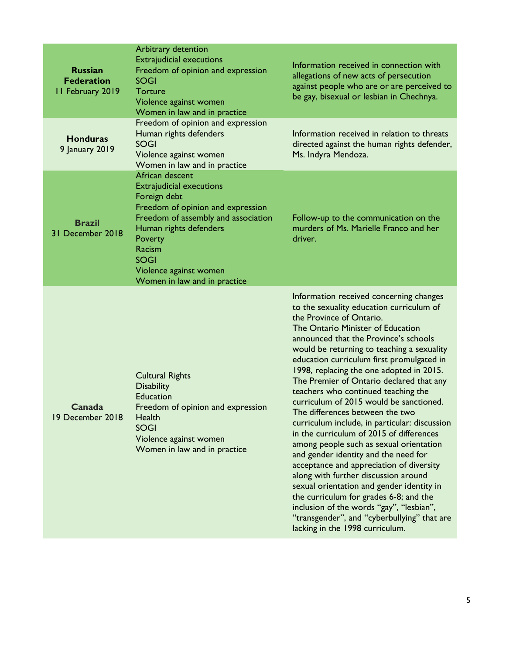| <b>Russian</b><br><b>Federation</b><br>II February 2019 | Arbitrary detention<br><b>Extrajudicial executions</b><br>Freedom of opinion and expression<br><b>SOGI</b><br>Torture<br>Violence against women<br>Women in law and in practice                                                                                        | Information received in connection with<br>allegations of new acts of persecution<br>against people who are or are perceived to<br>be gay, bisexual or lesbian in Chechnya.                                                                                                                                                                                                                                                                                                                                                                                                                                                                                                                                                                                                                                                                                                                                                                                                                    |
|---------------------------------------------------------|------------------------------------------------------------------------------------------------------------------------------------------------------------------------------------------------------------------------------------------------------------------------|------------------------------------------------------------------------------------------------------------------------------------------------------------------------------------------------------------------------------------------------------------------------------------------------------------------------------------------------------------------------------------------------------------------------------------------------------------------------------------------------------------------------------------------------------------------------------------------------------------------------------------------------------------------------------------------------------------------------------------------------------------------------------------------------------------------------------------------------------------------------------------------------------------------------------------------------------------------------------------------------|
| <b>Honduras</b><br>9 January 2019                       | Freedom of opinion and expression<br>Human rights defenders<br><b>SOGI</b><br>Violence against women<br>Women in law and in practice                                                                                                                                   | Information received in relation to threats<br>directed against the human rights defender,<br>Ms. Indyra Mendoza.                                                                                                                                                                                                                                                                                                                                                                                                                                                                                                                                                                                                                                                                                                                                                                                                                                                                              |
| <b>Brazil</b><br>31 December 2018                       | African descent<br><b>Extrajudicial executions</b><br>Foreign debt<br>Freedom of opinion and expression<br>Freedom of assembly and association<br>Human rights defenders<br>Poverty<br>Racism<br><b>SOGI</b><br>Violence against women<br>Women in law and in practice | Follow-up to the communication on the<br>murders of Ms. Marielle Franco and her<br>driver.                                                                                                                                                                                                                                                                                                                                                                                                                                                                                                                                                                                                                                                                                                                                                                                                                                                                                                     |
| Canada<br>19 December 2018                              | <b>Cultural Rights</b><br><b>Disability</b><br><b>Education</b><br>Freedom of opinion and expression<br>Health<br><b>SOGI</b><br>Violence against women<br>Women in law and in practice                                                                                | Information received concerning changes<br>to the sexuality education curriculum of<br>the Province of Ontario.<br>The Ontario Minister of Education<br>announced that the Province's schools<br>would be returning to teaching a sexuality<br>education curriculum first promulgated in<br>1998, replacing the one adopted in 2015.<br>The Premier of Ontario declared that any<br>teachers who continued teaching the<br>curriculum of 2015 would be sanctioned.<br>The differences between the two<br>curriculum include, in particular: discussion<br>in the curriculum of 2015 of differences<br>among people such as sexual orientation<br>and gender identity and the need for<br>acceptance and appreciation of diversity<br>along with further discussion around<br>sexual orientation and gender identity in<br>the curriculum for grades 6-8; and the<br>inclusion of the words "gay", "lesbian",<br>"transgender", and "cyberbullying" that are<br>lacking in the 1998 curriculum. |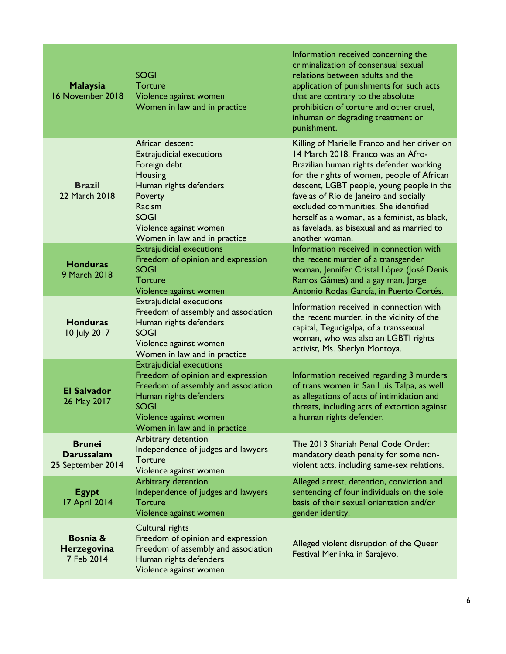| <b>Malaysia</b><br>16 November 2018                     | <b>SOGI</b><br>Torture<br>Violence against women<br>Women in law and in practice                                                                                                                               | Information received concerning the<br>criminalization of consensual sexual<br>relations between adults and the<br>application of punishments for such acts<br>that are contrary to the absolute<br>prohibition of torture and other cruel,<br>inhuman or degrading treatment or<br>punishment.                                                                                                                            |
|---------------------------------------------------------|----------------------------------------------------------------------------------------------------------------------------------------------------------------------------------------------------------------|----------------------------------------------------------------------------------------------------------------------------------------------------------------------------------------------------------------------------------------------------------------------------------------------------------------------------------------------------------------------------------------------------------------------------|
| <b>Brazil</b><br>22 March 2018                          | African descent<br><b>Extrajudicial executions</b><br>Foreign debt<br>Housing<br>Human rights defenders<br>Poverty<br>Racism<br><b>SOGI</b><br>Violence against women<br>Women in law and in practice          | Killing of Marielle Franco and her driver on<br>14 March 2018. Franco was an Afro-<br>Brazilian human rights defender working<br>for the rights of women, people of African<br>descent, LGBT people, young people in the<br>favelas of Rio de Janeiro and socially<br>excluded communities. She identified<br>herself as a woman, as a feminist, as black,<br>as favelada, as bisexual and as married to<br>another woman. |
| <b>Honduras</b><br>9 March 2018                         | <b>Extrajudicial executions</b><br>Freedom of opinion and expression<br><b>SOGI</b><br>Torture<br>Violence against women                                                                                       | Information received in connection with<br>the recent murder of a transgender<br>woman, Jennifer Cristal López (José Denis<br>Ramos Gámes) and a gay man, Jorge<br>Antonio Rodas García, in Puerto Cortés.                                                                                                                                                                                                                 |
| <b>Honduras</b><br>10 July 2017                         | <b>Extrajudicial executions</b><br>Freedom of assembly and association<br>Human rights defenders<br><b>SOGI</b><br>Violence against women<br>Women in law and in practice                                      | Information received in connection with<br>the recent murder, in the vicinity of the<br>capital, Tegucigalpa, of a transsexual<br>woman, who was also an LGBTI rights<br>activist, Ms. Sherlyn Montoya.                                                                                                                                                                                                                    |
| <b>El Salvador</b><br>26 May 2017                       | <b>Extrajudicial executions</b><br>Freedom of opinion and expression<br>Freedom of assembly and association<br>Human rights defenders<br><b>SOGI</b><br>Violence against women<br>Women in law and in practice | Information received regarding 3 murders<br>of trans women in San Luis Talpa, as well<br>as allegations of acts of intimidation and<br>threats, including acts of extortion against<br>a human rights defender.                                                                                                                                                                                                            |
| <b>Brunei</b><br><b>Darussalam</b><br>25 September 2014 | Arbitrary detention<br>Independence of judges and lawyers<br>Torture<br>Violence against women                                                                                                                 | The 2013 Shariah Penal Code Order:<br>mandatory death penalty for some non-<br>violent acts, including same-sex relations.                                                                                                                                                                                                                                                                                                 |
| <b>Egypt</b><br>17 April 2014                           | Arbitrary detention<br>Independence of judges and lawyers<br><b>Torture</b><br>Violence against women                                                                                                          | Alleged arrest, detention, conviction and<br>sentencing of four individuals on the sole<br>basis of their sexual orientation and/or<br>gender identity.                                                                                                                                                                                                                                                                    |
| Bosnia &<br>Herzegovina<br>7 Feb 2014                   | Cultural rights<br>Freedom of opinion and expression<br>Freedom of assembly and association<br>Human rights defenders<br>Violence against women                                                                | Alleged violent disruption of the Queer<br>Festival Merlinka in Sarajevo.                                                                                                                                                                                                                                                                                                                                                  |